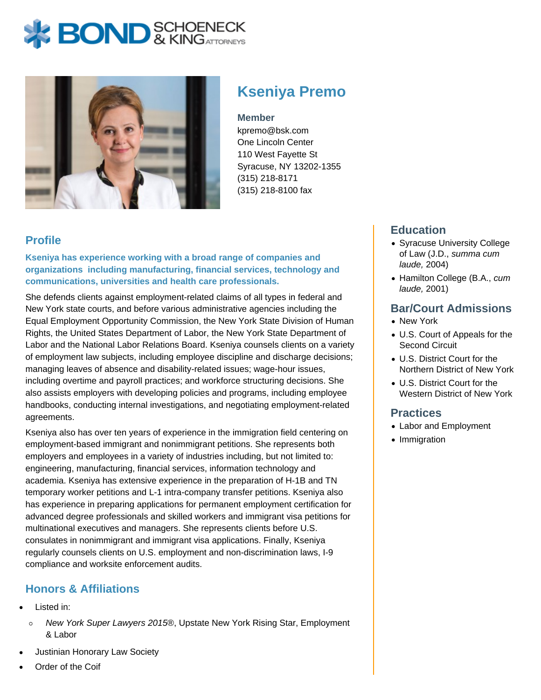# **BOND** & KINGATTORNECK



# **Kseniya Premo**

#### **Member**

kpremo@bsk.com One Lincoln Center 110 West Fayette St Syracuse, NY 13202-1355 (315) 218-8171 (315) 218-8100 fax

### **Profile**

**Kseniya has experience working with a broad range of companies and organizations including manufacturing, financial services, technology and communications, universities and health care professionals.**

She defends clients against employment-related claims of all types in federal and New York state courts, and before various administrative agencies including the Equal Employment Opportunity Commission, the New York State Division of Human Rights, the United States Department of Labor, the New York State Department of Labor and the National Labor Relations Board. Kseniya counsels clients on a variety of employment law subjects, including employee discipline and discharge decisions; managing leaves of absence and disability-related issues; wage-hour issues, including overtime and payroll practices; and workforce structuring decisions. She also assists employers with developing policies and programs, including employee handbooks, conducting internal investigations, and negotiating employment-related agreements.

Kseniya also has over ten years of experience in the immigration field centering on employment-based immigrant and nonimmigrant petitions. She represents both employers and employees in a variety of industries including, but not limited to: engineering, manufacturing, financial services, information technology and academia. Kseniya has extensive experience in the preparation of H-1B and TN temporary worker petitions and L-1 intra-company transfer petitions. Kseniya also has experience in preparing applications for permanent employment certification for advanced degree professionals and skilled workers and immigrant visa petitions for multinational executives and managers. She represents clients before U.S. consulates in nonimmigrant and immigrant visa applications. Finally, Kseniya regularly counsels clients on U.S. employment and non-discrimination laws, I-9 compliance and worksite enforcement audits.

# **Honors & Affiliations**

- Listed in:
	- $\circ$ New York Super Lawyers 2015®, Upstate New York Rising Star, Employment & Labor
- Justinian Honorary Law Society
- Order of the Coif

## **Education**

- Syracuse University College of Law (J.D., summa cum laude, 2004)
- Hamilton College (B.A., cum laude, 2001)

#### **Bar/Court Admissions**

- New York
- U.S. Court of Appeals for the Second Circuit
- U.S. District Court for the Northern District of New York
- U.S. District Court for the Western District of New York

#### **Practices**

- Labor and Employment
- Immigration